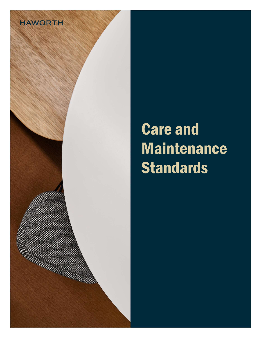

# Care and **Maintenance Standards**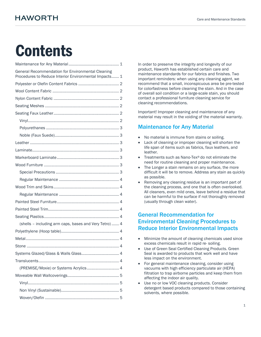## **Contents**

| General Recommendation for Environmental Cleaning<br>Procedures to Reduce Interior Environmental Impacts 1 |
|------------------------------------------------------------------------------------------------------------|
|                                                                                                            |
|                                                                                                            |
|                                                                                                            |
|                                                                                                            |
|                                                                                                            |
|                                                                                                            |
|                                                                                                            |
|                                                                                                            |
|                                                                                                            |
|                                                                                                            |
|                                                                                                            |
|                                                                                                            |
|                                                                                                            |
|                                                                                                            |
|                                                                                                            |
|                                                                                                            |
|                                                                                                            |
|                                                                                                            |
|                                                                                                            |
| (shells - including arm caps, bases and Very Tetro)  4                                                     |
|                                                                                                            |
|                                                                                                            |
|                                                                                                            |
|                                                                                                            |
|                                                                                                            |
| (PREMISE/Moxie) or Systems Acrylics 4                                                                      |
|                                                                                                            |
|                                                                                                            |
|                                                                                                            |
|                                                                                                            |

In order to preserve the integrity and longevity of our product, Haworth has established certain care and maintenance standards for our fabrics and finishes. Two important reminders: when using any cleaning agent, we recommend that a small, inconspicuous area be pre-tested for colorfastness before cleaning the stain. And in the case of overall soil condition or a large-scale stain, you should contact a professional furniture cleaning service for cleaning recommendations.

Important! Improper cleaning and maintenance of any material may result in the voiding of the material warranty.

## Maintenance for Any Material

- No material is immune from stains or soiling.
- Lack of cleaning or improper cleaning will shorten the life span of items such as fabrics, faux leathers, and leather.
- Treatments such as Nano-Tex® do not eliminate the need for routine cleaning and proper maintenance.
- The Longer a stain remains on any surface, the more difficult it will be to remove. Address any stain as quickly as possible.
- Removing any cleaning residue is an important part of the cleaning process, and one that is often overlooked. All cleaners, even mild ones, leave behind a residue that can be harmful to the surface if not thoroughly removed (usually through clean water).

## General Recommendation for Environmental Cleaning Procedures to Reduce Interior Environmental Impacts

- Minimize the amount of cleaning chemicals used since excess chemicals result in rapid re- soiling.
- Use of Green Seal Certified Cleaning Products. Green Seal is awarded to products that work well and have less impact on the environment.
- For general maintenance cleaning, consider using vacuums with high efficiency particulate air (HEPA) filtration to trap airborne particles and keep them from affecting the indoor air quality.
- Use no or low VOC cleaning products. Consider detergent based products compared to those containing solvents, where possible.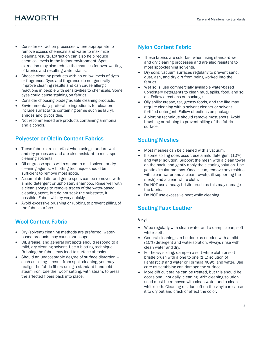## **HAWORTH**

- Consider extraction processes where appropriate to remove excess chemicals and water to maximize cleaning results. Extraction can also help reduce chemical levels in the indoor environment. Spot extraction may also reduce the chances for over-wetting of fabrics and resulting water stains.
- Choose cleaning products with no or low levels of dyes or fragrance. Dyes and fragrance do not generally improve cleaning results and can cause allergic reactions in people with sensitivities to chemicals. Some dyes could cause staining on fabrics.
- Consider choosing biodegradable cleaning products.
- Environmentally preferable ingredients for cleaners include surfactants containing terms such as lauryl, amides and glycosides.
- Not recommended are products containing ammonia and alcohols.

## Polyester or Olefin Content Fabrics

- These fabrics are colorfast when using standard wet and dry processes and are also resistant to most spotcleaning solvents.
- Oil or grease spots will respond to mild solvent or dry cleaning agents. A blotting technique should be sufficient to remove most spots.
- Accumulated dirt and grime spots can be removed with a mild detergent or upholstery shampoo. Rinse well with a clean sponge to remove traces of the water-based cleaning agent, but do not soak the substrate, if possible. Fabric will dry very quickly.
- Avoid excessive brushing or rubbing to prevent pilling of the fabric surface.

## Wool Content Fabric

- Dry (solvent) cleaning methods are preferred: waterbased products may cause shrinkage.
- Oil, grease, and general dirt spots should respond to a mild, dry cleaning solvent. Use a blotting technique. Rubbing the fabric may lead to surface abrasion.
- Should an unacceptable degree of surface distortion such as pilling – result from spot- cleaning, you may realign the fabric fibers using a standard handheld steam iron. Use the 'wool' setting, with steam, to press the affected fibers back into place.

## Nylon Content Fabric

- These fabrics are colorfast when using standard wet and dry cleaning processes and are also resistant to most spot-cleaning solvents.
- Dry soils: vacuum surfaces regularly to prevent sand, dust, ash, and dry dirt from being worked into the fabrics.
- Wet soils: use commercially available water-based upholstery detergents to clean mud, spills, food, and so on. Follow directions on package.
- Oily spills: grease, tar, greasy foods, and the like may require cleaning with a solvent cleaner or solventfortified detergent. Follow directions on package.
- A blotting technique should remove most spots. Avoid brushing or rubbing to prevent pilling of the fabric surface.

## Seating Meshes

- Most meshes can be cleaned with a vacuum.
- If some soiling does occur, use a mild detergent (10%) and water solution. Support the mesh with a clean towel on the back, and gently apply the cleaning solution. Use gentle circular motions. Once clean, remove any residue with clean water and a clean towel (still supporting the mesh) and a clean white cloth.
- Do NOT use a heavy bristle brush as this may damage the fabric.
- Do NOT use excessive heat while cleaning.

## Seating Faux Leather

#### Vinyl

- Wipe regularly with clean water and a damp, clean, soft white cloth.
- General cleaning can be done as needed with a mild (10%) detergent and water solution. Always rinse with clean water and dry.
- For heavy soiling, dampen a soft white cloth or soft bristle brush with a one to one (1:1) solution of Fantastic® and water or Formula 409® and water. Use care as scrubbing can damage the surface.
- More difficult stains can be treated, but this should be occasional, not daily, cleaning. ANY cleaning solution used must be removed with clean water and a clean white cloth. Cleaning residue left on the vinyl can cause it to dry out and crack or affect the color.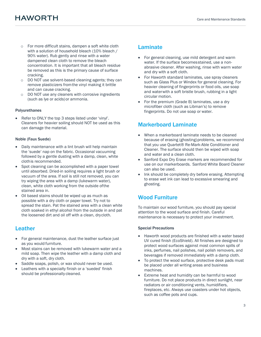- o For more difficult stains, dampen a soft white cloth with a solution of household bleach (10% bleach / 90% water). Rub gently and rinse with a water dampened clean cloth to remove the bleach concentration. It is important that all bleach residue be removed as this is the primary cause of surface cracking.
- o DO NOT use solvent-based cleaning agents; they can remove plasticizers from the vinyl making it brittle and can cause cracking.
- $\circ$  DO NOT use any cleaners with corrosive ingredients (such as lye or acids) or ammonia.

#### Polyurethanes

 Refer to ONLY the top 3 steps listed under 'vinyl'. Cleaners for heavier soiling should NOT be used as this can damage the material.

#### Noble (Faux Suede)

- Daily maintenance with a lint brush will help maintain the 'suede' nap on the fabric. Occasional vacuuming followed by a gentle dusting with a damp, clean, white cloth is recommended.
- Spot cleaning can be accomplished with a paper towel until absorbed. Dried-in soiling requires a light brush or vacuum of the area. If soil is still not removed, you can try wiping the area with a damp (lukewarm water), clean, white cloth working from the outside of the stained area in.
- Oil based stains should be wiped up as much as possible with a dry cloth or paper towel. Try not to spread the stain. Pat the stained area with a clean white cloth soaked in ethyl alcohol from the outside in and pat the loosened dirt and oil off with a clean, dry cloth.

#### Leather

- For general maintenance, dust the leather surface just as you would furniture.
- Most stains can be removed with lukewarm water and a mild soap. Then wipe the leather with a damp cloth and dry with a soft, dry cloth.
- Saddle soaps, polish, or wax should never be used.
- Leathers with a specialty finish or a 'sueded' finish should be professionally cleaned.

#### Laminate

- For general cleaning, use mild detergent and warm water. If the surface becomes stained, use a nonabrasive cleaner. After washing, rinse with warm water and dry with a soft cloth.
- For Haworth standard laminates, use spray cleaners such as Glass Plus or Windex for general cleaning. For heavier cleaning of fingerprints or food oils, use soap and water with a soft bristle brush, rubbing in a light circular motion.
- For the premium (Grade B) laminates, use a dry microfiber cloth (such as Libman's) to remove fingerprints. Do not use soap or water.

#### Markerboard Laminate

- When a markerboard laminate needs to be cleaned because of erasing (ghosting) problems, we recommend that you use Quartet® Re-Mark-Able Conditioner and Cleaner. The surface should then be wiped with soap and water and a clean cloth.
- Sanford Expo Dry Erase markers are recommended for use on our markerboards. Sanford White Board Cleaner can also be used.
- Ink should be completely dry before erasing. Attempting to erase wet ink can lead to excessive smearing and ghosting.

#### Wood Furniture

To maintain our wood furniture, you should pay special attention to the wood surface and finish. Careful maintenance is necessary to protect your investment.

#### Special Precautions

- Haworth wood products are finished with a water based UV cured finish (EcoShield). All finishes are designed to protect wood surfaces against most common spills of inks, perfumes, nail polishes, nail polish removers, and beverages if removed immediately with a damp cloth.
- To protect the wood surface, protective desk pads must be placed under all writing areas and business machines.
- Extreme heat and humidity can be harmful to wood furniture. Do not place products in direct sunlight, near radiators or air conditioning vents, humidifiers, fireplaces, etc. Always use coasters under hot objects, such as coffee pots and cups.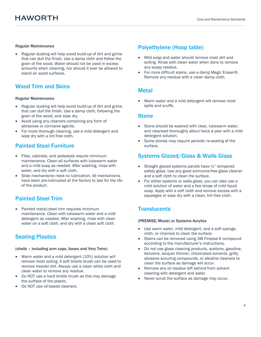#### Regular Maintenance

 Regular dusting will help avoid build-up of dirt and grime that can dull the finish. Use a damp cloth and follow the grain of the wood. Water should not be used in excess amounts when cleaning, nor should it ever be allowed to stand on wood surfaces.

### Wood Trim and Skins

#### Regular Maintenance

- Regular dusting will help avoid build-up of dirt and grime that can dull the finish. Use a damp cloth, following the grain of the wood, and wipe dry.
- Avoid using any cleaners containing any form of abrasives or corrosive agents.
- For more thorough cleaning, use a mild detergent and wipe dry with a lint free cloth.

## Painted Steel Furniture

- Files, cabinets, and pedestals require minimum maintenance. Clean all surfaces with lukewarm water and a mild soap as needed. After washing, rinse with water, and dry with a soft cloth.
- Slide mechanisms need no lubrication. All mechanisms have been pre-lubricated at the factory to last for the life of the product.

### Painted Steel Trim

• Painted metal/steel trim requires minimum maintenance. Clean with lukewarm water and a mild detergent as needed. After washing, rinse with clean water on a soft cloth, and dry with a clean soft cloth.

## Seating Plastics

#### (shells – including arm caps, bases and Very Tetro)

- Warm water and a mild detergent (10%) solution will remove most soiling. A soft bristle brush can be used to remove heavier dirt. Always use a clean white cloth and clean water to remove any residue.
- Do NOT use a hard bristle brush as this may damage the surface of the plastic.
- Do NOT use oil-based cleaners.

### Polyethylene (Hoop table)

- Mild soap and water should remove most dirt and soiling. Rinse with clean water when done to remove any soapy residue.
- For more difficult stains, use a damp Magic Eraser®. Remove any residue with a clean damp cloth.

#### Metal

 Warm water and a mild detergent will remove most spills and scuffs.

#### **Stone**

- Stone should be washed with clear, lukewarm water, and cleansed thoroughly about twice a year with a mild detergent solution.
- Some stones may require periodic re-sealing of the surface.

## Systems Glazed/Glass & Walls Glass

- Straight glazed systems panels have ¼" tempered safety glass. Use any good ammonia-free glass cleaner and a soft cloth to clean the surface.
- For either systems or walls glass, you can also use a mild solution of water and a few drops of mild liquid soap. Apply with a soft cloth and remove excess with a squeegee or wipe dry with a clean, lint free cloth.

## **Translucents**

#### (PREMISE/Moxie) or Systems Acrylics

- Use warm water, mild detergent, and a soft sponge, cloth, or chamois to clean the surface.
- Stains can be removed using 3M Finesse-It compound according to the manufacturer's instructions.
- Do not use glass cleaning products, acetone, gasoline, benzene, lacquer thinner, chlorinated solvents, gritty abrasive scouring compounds, or alkaline cleaners to clean the surface as damage will occur.
- Remove any oil residue left behind from solvent cleaning with detergent and water.
- Never scrub the surface as damage may occur.